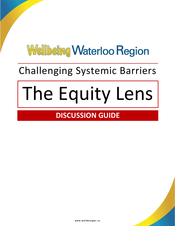## Challenging Systemic Barriers

# The Equity Lens

## **DISCUSSION GUIDE**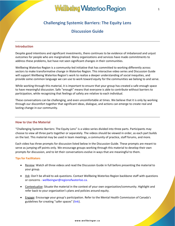#### **Challenging Systemic Barriers: The Equity Lens**

#### **Discussion Guide**

#### **Introduction**

Despite good intentions and significant investments, there continues to be evidence of imbalanced and unjust outcomes for people who are marginalized. Many organizations and services have made commitments to address these problems, but have not seen significant changes in their communities.

Wellbeing Waterloo Region is a community-led initiative that has committed to working differently across sectors to make transformative change in Waterloo Region. This interactive video series and Discussion Guide will support Wellbeing Waterloo Region's work to realize a deeper understanding of social inequities, and provide some common language we can use to work toward equity for the communities we belong to and serve.

While working through this material, it is important to ensure that your group has created a safe enough space to have meaningful discussion. Safe "enough" means that everyone is able to contribute without barriers to participation, while recognizing that feelings of safety are relative to each individual.

These conversations can be challenging, and even uncomfortable at times. We believe that it is only by working through our discomfort together that significant ideas, dialogue, and actions can emerge to create real and lasting change in our community.

#### **How to Use the Material**

"Challenging Systemic Barriers: The Equity Lens" is a video series divided into three parts. Participants may choose to view all three parts together or separately. The videos should be viewed in order, as each part builds on the last. This material may be used in team meetings, a community of practice, staff forums, and more.

Each video has three prompts for discussion listed below in the Discussion Guide. These prompts are meant to serve as jumping off points only. We encourage groups working through this material to develop their own prompts for discussion, and to let their conversations evolve in ways that are meaningful to them.

#### **Tips for Facilitators**

- Review: Watch all three videos and read the Discussion Guide in full before presenting the material to your group.
- Ask: Don't be afraid to ask questions. Contact Wellbeing Waterloo Region backbone staff with questions or concerns - [wellbeingwr@regionofwaterloo.ca.](mailto:wellbeingwr@regionofwaterloo.ca)
- Contextualize: Situate the material in the context of your own organization/community. Highlight and refer back to your organization's plans and policies around equity.
- Engage: Encourage your group's participation. Refer to the Mental Health Commission of Canada's guidelines for creating "safer spaces" ([link\)](https://www.mentalhealthcommission.ca/sites/default/files/2019-03/safer_space_guidelines_mar_2019_eng.pdf).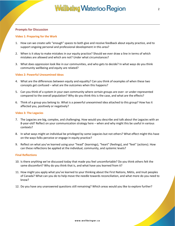#### **Prompts for Discussion**

#### **Video 1: Preparing for the Work**

- 1. How can we create safe "enough" spaces to both give and receive feedback about equity practice, and to support ongoing personal and professional development in this area?
- 2. When is it okay to make mistakes in our equity practice? Should we ever draw a line in terms of which mistakes are allowed and which are not? Under what circumstances?
- 3. What does oppression look like in our communities, and who gets to decide? In what ways do you think community wellbeing and equity are related?

#### **Video 2: Powerful Unexamined Ideas**

- 4. What are the differences between equity and equality? Can you think of examples of when these two concepts get confused – what are the outcomes when this happens?
- 5. Can you think of a system in your own community where certain groups are over- or under-represented compared to the overall population? Why do you think this is the case, and what are the effects?
- 6. Think of a group you belong to. What is a powerful unexamined idea attached to this group? How has it affected you, positively or negatively?

#### **Video 3: The Legacies**

- 7. The Legacies are big, complex, and challenging. How would you describe and talk about the Legacies with an 8-year-old? Reflect on your communication strategy here – when and why might this be useful in various contexts?
- 8. In what ways might an individual be privileged by some Legacies but not others? What effect might this have on the ways folks perceive or engage in equity practice?
- 9. Reflect on what you've learned using your "head" (learnings), "heart" (feelings), and "feet" (actions). How can these reflections be applied at the individual, community, and systemic levels?

#### **Final Reflections**

- 10. Is there anything we've discussed today that made you feel uncomfortable? Do you think others felt the same discomfort? Why do you think that is, and what have you learned from it?
- 11. How might you apply what you've learned to your thinking about the First Nations, Métis, and Inuit peoples of Canada? What can you do to help move the needle towards reconciliation, and what more do you need to know?
- 12. Do you have any unanswered questions still remaining? Which areas would you like to explore further?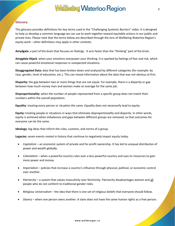#### **Glossary**

This glossary provides definitions for key terms used in the "Challenging Systemic Barriers" video. It is designed to help us develop a common language we can use to work together toward equitable actions in our public and private lives. Please note that the terms below are described through the lens of Wellbeing Waterloo Region's equity work – other definitions may apply in other contexts.

**Amydgala:** a part of the brain that focuses on feelings. It acts faster than the "thinking" part of the brain.

**Amygdala Hijack**: when your emotions overpower your thinking. It is sparked by feelings of fear and risk, which can cause powerful emotional responses in unexpected situations.

**Disaggregated Data:** data that has been broken down and analyzed by different categories (for example: by race, gender, level of education, etc.). This can reveal information about the data that was not obvious at first.

**Disparity:** the gap between two or more things that are not equal. For example, there is a *disparity* or gap between how much money men and women make on average for the same job.

**Disproportionality:** when the number of people represented from a specific group does not match their numbers within the overall population.

**Equality**: treating every person or situation the same. *Equality* does not necessarily lead to *equity*.

**Equity:** treating people or situations in ways that eliminate *disproportionality* and *disparity.* In other words, equity is achieved when imbalances and gaps between different groups are removed, so that outcomes for everyone can be the same.

**Ideology:** big ideas that inform the rules, customs, and norms of a group.

**Legacies:** seven events rooted in history that continue to negatively impact equity today.

- *Capitalism*  an economic system of private and for-profit ownership. It has led to unequal distribution of power and wealth globally.
- *Colonialism* when a powerful country rules over a less-powerful country and uses its resources to gain more power and money.
- *Imperialism*  policies that increase a country's influence through physical, political, or economic control over another.
- *Patriarchy*  a system that values masculinity over femininity. Patriarchy disadvantages women and all people who do not conform to traditional gender roles.
- *Religious Universalism*  the idea that there is one set of religious beliefs that everyone should follow.
- *Slavery*  when one person owns another. A slave does not have the same human rights as a free person.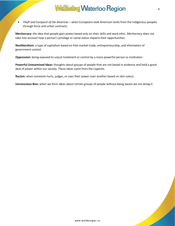*Theft and Conquest of the Americas* – when Europeans took American lands from the Indigenous peoples through force and unfair contracts.

**Meritocracy:** the idea that people gain power based only on their skills and work ethic. *Meritocracy* does not take into account how a person's privilege or social status impacts their opportunities.

**Neoliberalism:** a type of capitalism based on free market trade, entrepreneurship, and elimination of government control.

**Oppression:** being exposed to unjust treatment or control by a more powerful person or institution.

**Powerful Unexamined Ideas:** thoughts about groups of people that are not based in evidence and hold a great deal of power within our society. These ideas come from the *Legacies*.

**Racism:** when someone hurts, judges, or uses their power over another based on skin colour.

**Unconscious Bias:** when we form ideas about certain groups of people without being aware we are doing it.

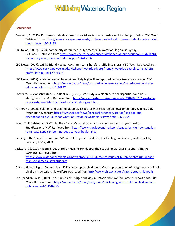#### **References**

- Bueckert, K. (2019). Kitchener students accused of racist social media posts won't be charged: Police. *CBC News*. Retrieved from [https://www.cbc.ca/news/canada/kitchener-waterloo/kitchener-students-racist-social](https://www.cbc.ca/news/canada/kitchener-waterloo/kitchener-students-racist-social-media-posts-1.5043192)[media-posts-1.5043192](https://www.cbc.ca/news/canada/kitchener-waterloo/kitchener-students-racist-social-media-posts-1.5043192)
- CBC News. (2017). LGBTQ community doesn't feel fully accepted in Waterloo Region, study says. *CBC News*. Retrieved fro[m https://www.cbc.ca/news/canada/kitchener-waterloo/outlook-study-lgbtq](https://www.cbc.ca/news/canada/kitchener-waterloo/outlook-study-lgbtq-community-acceptance-waterloo-region-1.4415996)[community-acceptance-waterloo-region-1.4415996](https://www.cbc.ca/news/canada/kitchener-waterloo/outlook-study-lgbtq-community-acceptance-waterloo-region-1.4415996)
- CBC News. (2017). LGBTQ-friendly Waterloo church turns hateful graffiti into mural. *CBC News*. Retrieved from [https://www.cbc.ca/news/canada/kitchener-waterloo/lgbtq-friendly-waterloo-church-turns-hateful](https://www.cbc.ca/news/canada/kitchener-waterloo/lgbtq-friendly-waterloo-church-turns-hateful-graffiti-into-mural-1.4371962)[graffiti-into-mural-1.4371962](https://www.cbc.ca/news/canada/kitchener-waterloo/lgbtq-friendly-waterloo-church-turns-hateful-graffiti-into-mural-1.4371962)
- CBC News. (2017). Waterloo region hate crimes likely higher than reported, anti-racism advocate says. *CBC News.* Retrieved from [https://www.cbc.ca/news/canada/kitchener-waterloo/waterloo-region-hate](https://www.cbc.ca/news/canada/kitchener-waterloo/waterloo-region-hate-crimes-muslims-rise-1.4160327)[crimes-muslims-rise-1.4160327](https://www.cbc.ca/news/canada/kitchener-waterloo/waterloo-region-hate-crimes-muslims-rise-1.4160327)
- Contenta, S., Monsebraaten, L., & Rankin, J. (2016). CAS study reveals stark racial disparities for blacks, aboriginals. *The Star*. Retrieved from [https://www.thestar.com/news/canada/2016/06/23/cas-study](https://www.thestar.com/news/canada/2016/06/23/cas-study-reveals-stark-racial-disparities-for-blacks-aboriginals.html)[reveals-stark-racial-disparities-for-blacks-aboriginals.html](https://www.thestar.com/news/canada/2016/06/23/cas-study-reveals-stark-racial-disparities-for-blacks-aboriginals.html)
- Ferrier, M. (2018). Isolation and discrimination big issues for Waterloo region newcomers, survey finds. *CBC News*. Retrieved fro[m https://www.cbc.ca/news/canada/kitchener-waterloo/isolation-and](https://www.cbc.ca/news/canada/kitchener-waterloo/isolation-and-discrimination-big-issues-for-waterloo-region-newcomers-survey-finds-1.4753928)[discrimination-big-issues-for-waterloo-region-newcomers-survey-finds-1.4753928](https://www.cbc.ca/news/canada/kitchener-waterloo/isolation-and-discrimination-big-issues-for-waterloo-region-newcomers-survey-finds-1.4753928)
- Grant, T., & Balkissoon, D. (2016). How Canada's racial data gaps can be hazardous to your health. *The Globe and Mail*. Retrieved from [https://www.theglobeandmail.com/canada/article-how-canadas](https://www.theglobeandmail.com/canada/article-how-canadas-racial-data-gaps-can-be-hazardous-to-your-health-and/)[racial-data-gaps-can-be-hazardous-to-your-health-and/](https://www.theglobeandmail.com/canada/article-how-canadas-racial-data-gaps-can-be-hazardous-to-your-health-and/)
- Healing of the Seven Generations. "We All Pull Together: First Peoples' Healing Conference, Waterloo, ON, February 11-12, 2019.
- Jackson, A. (2019). Racism issues at Huron Heights run deeper than social media, says student. *Waterloo Chronicle.* Retrieved from [https://www.waterloochronicle.ca/news-story/9194066-racism-issues-at-huron-heights-run-deeper](https://www.waterloochronicle.ca/news-story/9194066-racism-issues-at-huron-heights-run-deeper-than-social-media-says-student/)[than-social-media-says-student/](https://www.waterloochronicle.ca/news-story/9194066-racism-issues-at-huron-heights-run-deeper-than-social-media-says-student/)
- Ontario Human Rights Commission. (2018). Interrupted childhoods: Over-representation of Indigenous and Black children in Ontario child welfare. Retrieved from<http://www.ohrc.on.ca/en/interrupted-childhoods>
- The Canadian Press. (2018). Too many black, Indigenous kids in Ontario child-welfare system, report finds. *CBC News.* Retrieved fro[m https://www.cbc.ca/news/indigenous/black-indigenous-children-child-welfare](https://www.cbc.ca/news/indigenous/black-indigenous-children-child-welfare-ontario-report-1.4616956)[ontario-report-1.4616956](https://www.cbc.ca/news/indigenous/black-indigenous-children-child-welfare-ontario-report-1.4616956)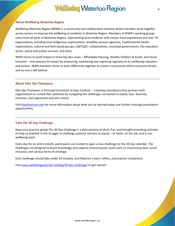#### **About Wellbeing Waterloo Region**

Wellbeing Waterloo Region (WWR) is a community-led collaborative initiative where members work together across sectors to improve the wellbeing of residents in Waterloo Region. Members of WWR's working groups come from all parts of Waterloo Region, representing local residents with various lived experiences and over 70 organizations, including local Indigenous organizations, disability services agencies, health/mental health organizations, cultural and faith-based groups, LGBTQ2S+ collaboratives, municipal governments, the education sector, police and justice services, and more.

WWR strives to build impact in three big idea areas – Affordable Housing, Healthy Children & Youth, and Social Inclusion – and assesses its impact by measuring, monitoring and reporting regularly on its wellbeing indicators and actions. WWR members strive to work differently together to create a community where everyone thrives and no one is left behind.

#### **About Kike Ojo-Thompson**

Kike Ojo-Thompson is Principal Consultant at Kojo Institute – a leading consultancy that partners with organizations to unlock their potential by navigating the challenges connected to equity, bias, diversity, inclusion, anti-oppression and anti-racism.

Visi[t kojoinstitute.com](https://kojoinstitute.com/) for more information about what you've learned today and further training/consultation opportunities.

#### **Take the 30 Day Challenge**

Keep your practice going! The 30 Day Challenge is a daily practice of short, fun, and thought-provoking activities to help us mobilize in the struggle to challenge systemic barriers to equity – at home, on the job, and in our wellbeing work.

Every day for an entire month, participants are invited to open a new challenge on the 30-day calendar. The challenges are designed to boost knowledge and capacity around equity issues such as unconscious bias, social inclusion, and various forms of privilege.

Each challenge should take under 10 minutes, and features a learn, reflect, and practice component.

Visi[t www.wellbeingwaterloo.ca/blog/30-day-challenge/](http://www.wellbeingwaterloo.ca/blog/30-day-challenge/) to get started.